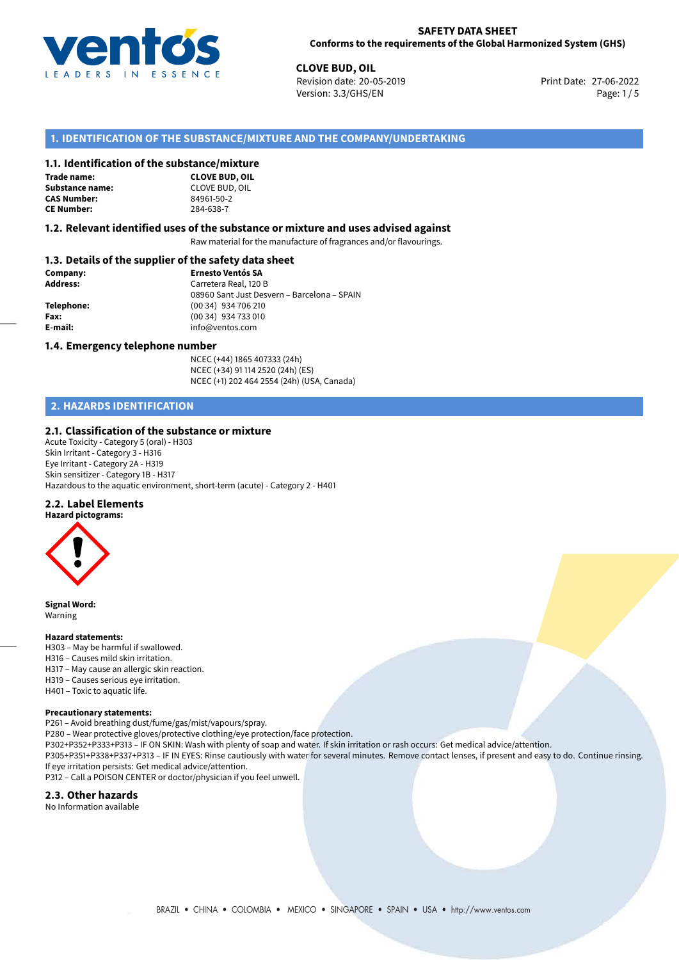

## **SAFETY DATA SHEET Conforms to the requirements of the Global Harmonized System (GHS)**

**CLOVE BUD, OIL**<br>
Revision date: 20-05-2019 **Print Date: 27-06-2022** Version: 3.3/GHS/EN Page: 1/5

## **1. IDENTIFICATION OF THE SUBSTANCE/MIXTURE AND THE COMPANY/UNDERTAKING**

## **1.1. Identification of the substance/mixture**

**Trade name: Substance name:** CLOVE BUD, OIL **CAS Number: CE Number:** 284-638-7



#### **1.2. Relevant identified uses of the substance or mixture and uses advised against**

Raw material for the manufacture of fragrances and/or flavourings.

## **1.3. Details of the supplier of the safety data sheet**

| Company:        | <b>Ernesto Ventós SA</b>                    |
|-----------------|---------------------------------------------|
| <b>Address:</b> | Carretera Real, 120 B                       |
|                 | 08960 Sant Just Desvern - Barcelona - SPAIN |
| Telephone:      | (00 34) 934 706 210                         |
| Fax:            | (00 34) 934 733 010                         |
| E-mail:         | info@ventos.com                             |
|                 |                                             |

#### **1.4. Emergency telephone number**

NCEC (+44) 1865 407333 (24h) NCEC (+34) 91 114 2520 (24h) (ES) NCEC (+1) 202 464 2554 (24h) (USA, Canada)

## **2. HAZARDS IDENTIFICATION**

#### **2.1. Classification of the substance or mixture**

Acute Toxicity - Category 5 (oral) - H303 Skin Irritant - Category 3 - H316 Eye Irritant - Category 2A - H319 Skin sensitizer - Category 1B - H317 Hazardous to the aquatic environment, short-term (acute) - Category 2 - H401

#### **2.2. Label Elements**



**Signal Word:** Warning

#### **Hazard statements:**

- H303 May be harmful if swallowed.
- H316 Causes mild skin irritation.
- H317 May cause an allergic skin reaction.
- H319 Causes serious eye irritation. H401 – Toxic to aquatic life.
- 

#### **Precautionary statements:**

P261 – Avoid breathing dust/fume/gas/mist/vapours/spray. P280 – Wear protective gloves/protective clothing/eye protection/face protection. P302+P352+P333+P313 – IF ON SKIN: Wash with plenty of soap and water. If skin irritation or rash occurs: Get medical advice/attention. P305+P351+P338+P337+P313 – IF IN EYES: Rinse cautiously with water for several minutes. Remove contact lenses, if present and easy to do. Continue rinsing. If eye irritation persists: Get medical advice/attention. P312 – Call a POISON CENTER or doctor/physician if you feel unwell.

#### **2.3. Other hazards**

No Information available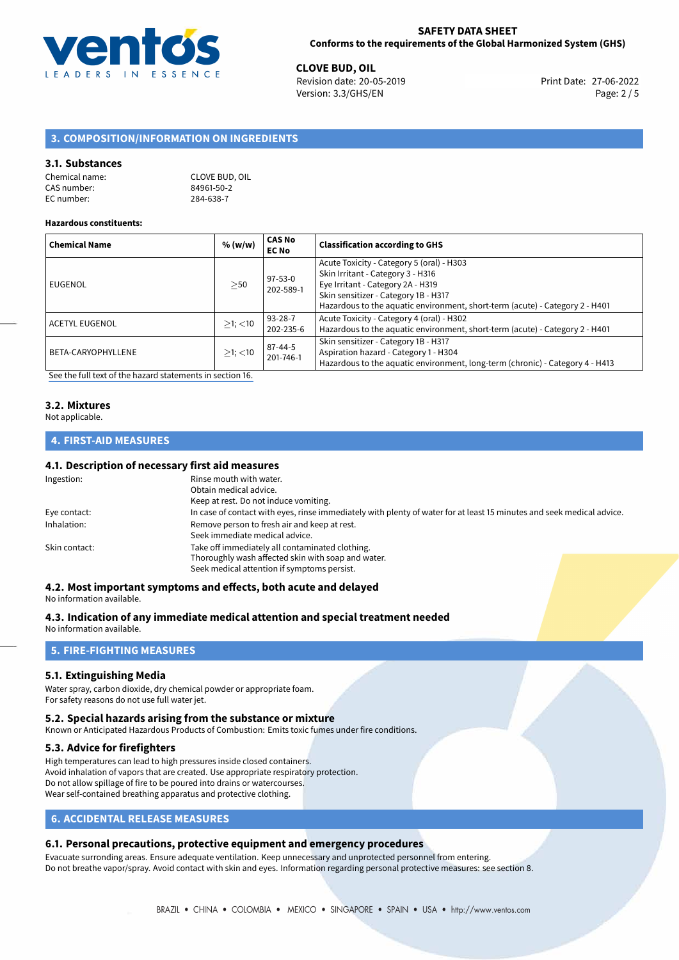

**CLOVE BUD, OIL**<br>
Revision date: 20-05-2019 **Print Date: 27-06-2022** Version: 3.3/GHS/EN Page: 2 / 5

## **3. COMPOSITION/INFORMATION ON INGREDIENTS**

#### **3.1. Substances**

| Chemical name: | <b>CLOVE BUD, OIL</b> |
|----------------|-----------------------|
| CAS number:    | 84961-50-2            |
| EC number:     | 284-638-7             |

#### **Hazardous constituents:**

| <b>Chemical Name</b>  | % (w/w)       | <b>CAS No</b><br><b>EC No</b> | <b>Classification according to GHS</b>                                                                                                                                                                                                      |
|-----------------------|---------------|-------------------------------|---------------------------------------------------------------------------------------------------------------------------------------------------------------------------------------------------------------------------------------------|
| EUGENOL               | >50           | 97-53-0<br>202-589-1          | Acute Toxicity - Category 5 (oral) - H303<br>Skin Irritant - Category 3 - H316<br>Eye Irritant - Category 2A - H319<br>Skin sensitizer - Category 1B - H317<br>Hazardous to the aquatic environment, short-term (acute) - Category 2 - H401 |
| <b>ACETYL EUGENOL</b> | $>1$ ; $<$ 10 | 93-28-7<br>202-235-6          | Acute Toxicity - Category 4 (oral) - H302<br>Hazardous to the aquatic environment, short-term (acute) - Category 2 - H401                                                                                                                   |
| BETA-CARYOPHYLLENE    | $>1$ ; $<$ 10 | 87-44-5<br>201-746-1          | Skin sensitizer - Category 1B - H317<br>Aspiration hazard - Category 1 - H304<br>Hazardous to the aquatic environment, long-term (chronic) - Category 4 - H413                                                                              |

[See the full text of the hazard statements in section 16.](#page-4-0)

## **3.2. Mixtures**

Not applicable.

## **4. FIRST-AID MEASURES**

### **4.1. Description of necessary first aid measures**

| Ingestion:    | Rinse mouth with water.                                                                                               |
|---------------|-----------------------------------------------------------------------------------------------------------------------|
|               | Obtain medical advice.                                                                                                |
|               | Keep at rest. Do not induce vomiting.                                                                                 |
| Eye contact:  | In case of contact with eyes, rinse immediately with plenty of water for at least 15 minutes and seek medical advice. |
| Inhalation:   | Remove person to fresh air and keep at rest.                                                                          |
|               | Seek immediate medical advice.                                                                                        |
| Skin contact: | Take off immediately all contaminated clothing.                                                                       |
|               | Thoroughly wash affected skin with soap and water.                                                                    |
|               | Seek medical attention if symptoms persist.                                                                           |

#### **4.2. Most important symptoms and effects, both acute and delayed**

No information available.

## **4.3. Indication of any immediate medical attention and special treatment needed**

No information available.

## **5. FIRE-FIGHTING MEASURES**

#### **5.1. Extinguishing Media**

Water spray, carbon dioxide, dry chemical powder or appropriate foam. For safety reasons do not use full water jet.

#### **5.2. Special hazards arising from the substance or mixture**

Known or Anticipated Hazardous Products of Combustion: Emits toxic fumes under fire conditions.

## **5.3. Advice for firefighters**

High temperatures can lead to high pressures inside closed containers. Avoid inhalation of vapors that are created. Use appropriate respiratory protection. Do not allow spillage of fire to be poured into drains or watercourses. Wear self-contained breathing apparatus and protective clothing.

## **6. ACCIDENTAL RELEASE MEASURES**

## **6.1. Personal precautions, protective equipment and emergency procedures**

Evacuate surronding areas. Ensure adequate ventilation. Keep unnecessary and unprotected personnel from entering. Do not breathe vapor/spray. Avoid contact with skin and eyes. Information regarding personal protective measures: see section 8.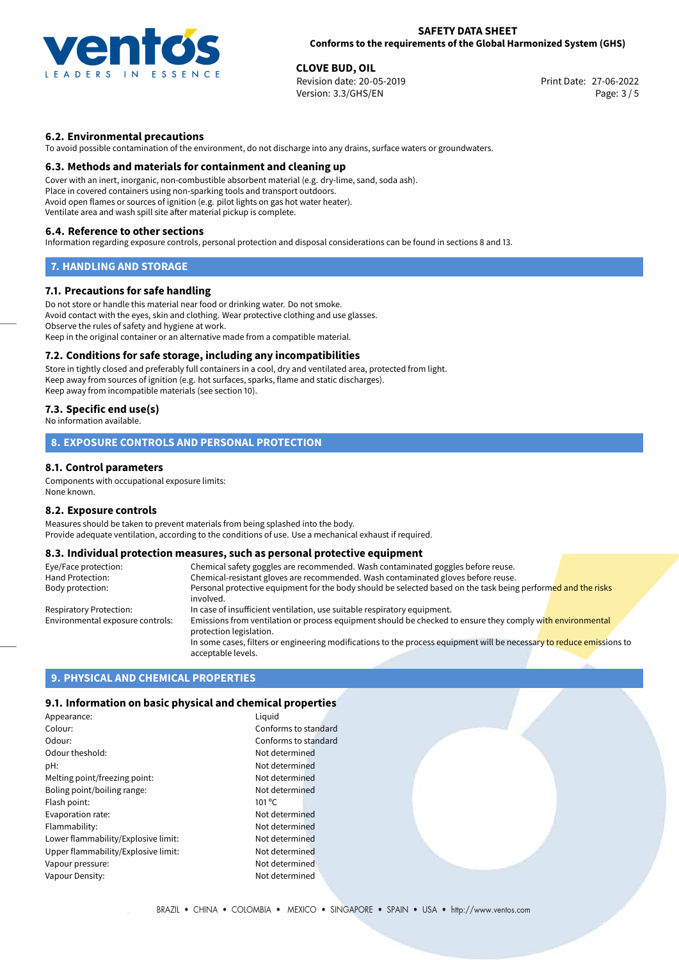

## **SAFETY DATA SHEET Conforms to the requirements of the Global Harmonized System (GHS)**

**CLOVE BUD, OIL**<br>
Revision date: 20-05-2019 **Print Date: 27-06-2022** Version: 3.3/GHS/EN Page: 3 / 5

## **6.2. Environmental precautions**

To avoid possible contamination of the environment, do not discharge into any drains, surface waters or groundwaters.

#### **6.3. Methods and materials for containment and cleaning up**

Cover with an inert, inorganic, non-combustible absorbent material (e.g. dry-lime, sand, soda ash). Place in covered containers using non-sparking tools and transport outdoors. Avoid open flames or sources of ignition (e.g. pilot lights on gas hot water heater). Ventilate area and wash spill site after material pickup is complete.

#### **6.4. Reference to other sections**

Information regarding exposure controls, personal protection and disposal considerations can be found in sections 8 and 13.

## **7. HANDLING AND STORAGE**

## **7.1. Precautions for safe handling**

Do not store or handle this material near food or drinking water. Do not smoke. Avoid contact with the eyes, skin and clothing. Wear protective clothing and use glasses. Observe the rules of safety and hygiene at work. Keep in the original container or an alternative made from a compatible material.

#### **7.2. Conditions for safe storage, including any incompatibilities**

Store in tightly closed and preferably full containers in a cool, dry and ventilated area, protected from light. Keep away from sources of ignition (e.g. hot surfaces, sparks, flame and static discharges). Keep away from incompatible materials (see section 10).

## **7.3. Specific end use(s)**

No information available.

## **8. EXPOSURE CONTROLS AND PERSONAL PROTECTION**

## **8.1. Control parameters**

Components with occupational exposure limits: None known.

#### **8.2. Exposure controls**

Measures should be taken to prevent materials from being splashed into the body. Provide adequate ventilation, according to the conditions of use. Use a mechanical exhaust if required.

## **8.3. Individual protection measures, such as personal protective equipment**

| Eye/Face protection:             | Chemical safety goggles are recommended. Wash contaminated goggles before reuse.                                                            |
|----------------------------------|---------------------------------------------------------------------------------------------------------------------------------------------|
| Hand Protection:                 | Chemical-resistant gloves are recommended. Wash contaminated gloves before reuse.                                                           |
| Body protection:                 | Personal protective equipment for the body should be selected based on the task being performed and the risks<br>involved.                  |
| Respiratory Protection:          | In case of insufficient ventilation, use suitable respiratory equipment.                                                                    |
| Environmental exposure controls: | Emissions from ventilation or process equipment should be checked to ensure they comply with environmental<br>protection legislation.       |
|                                  | In some cases, filters or engineering modifications to the process equipment will be necessary to reduce emissions to<br>acceptable levels. |

## **9. PHYSICAL AND CHEMICAL PROPERTIES**

## **9.1. Information on basic physical and chemical properties**

| Appearance:                         | Liquid               |
|-------------------------------------|----------------------|
| Colour:                             | Conforms to standard |
| Odour:                              | Conforms to standard |
| Odour theshold:                     | Not determined       |
| pH:                                 | Not determined       |
| Melting point/freezing point:       | Not determined       |
| Boling point/boiling range:         | Not determined       |
| Flash point:                        | $101^{\circ}$ C      |
| Evaporation rate:                   | Not determined       |
| Flammability:                       | Not determined       |
| Lower flammability/Explosive limit: | Not determined       |
| Upper flammability/Explosive limit: | Not determined       |
| Vapour pressure:                    | Not determined       |
| Vapour Density:                     | Not determined       |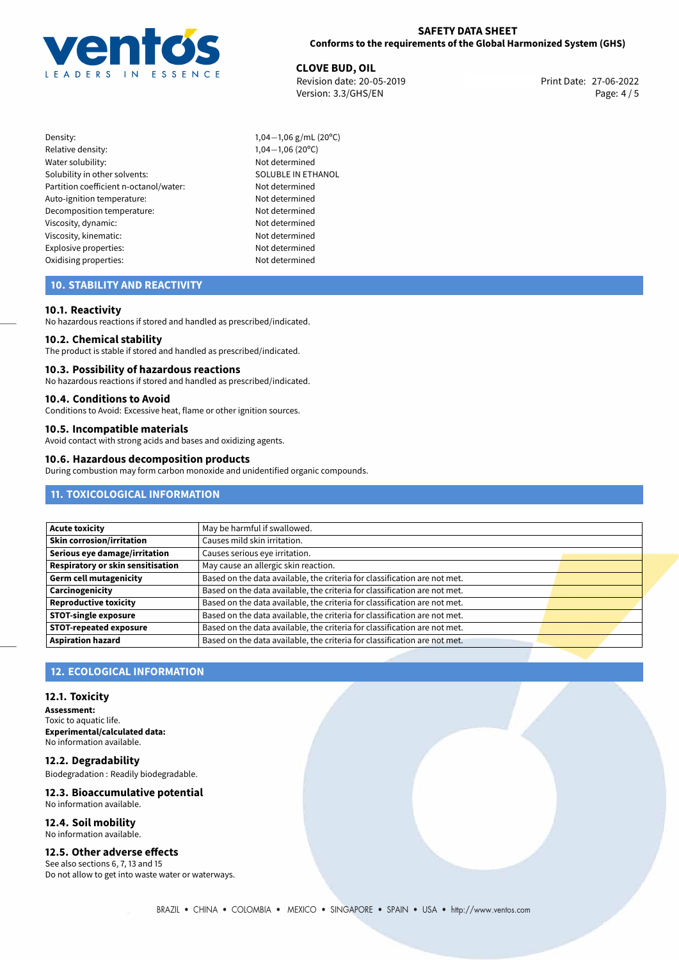

**CLOVE BUD, OIL**<br>
Revision date: 20-05-2019 **Print Date: 27-06-2022** Version: 3.3/GHS/EN Page: 4 / 5

- Density: 1,04−1,06 g/mL (20°C)<br>Relative density: 1,04−1,06 (20°C) Water solubility: Solubility in other solvents: SOLUBLE IN ETHANOL Partition coefficient n-octanol/water: Not determined Auto-ignition temperature: Not determined Decomposition temperature: Not determined Viscosity, dynamic: Not determined Viscosity, kinematic: Not determined Explosive properties: Not determined Oxidising properties: Not determined
	- 1,04−1,06 (20°C)<br>Not determined

## **10. STABILITY AND REACTIVITY**

## **10.1. Reactivity**

No hazardous reactions if stored and handled as prescribed/indicated.

## **10.2. Chemical stability**

The product is stable if stored and handled as prescribed/indicated.

#### **10.3. Possibility of hazardous reactions**

No hazardous reactions if stored and handled as prescribed/indicated.

## **10.4. Conditions to Avoid**

Conditions to Avoid: Excessive heat, flame or other ignition sources.

# **10.5. Incompatible materials**

Avoid contact with strong acids and bases and oxidizing agents.

#### **10.6. Hazardous decomposition products**

During combustion may form carbon monoxide and unidentified organic compounds.

## **11. TOXICOLOGICAL INFORMATION**

| Acute toxicity                           | May be harmful if swallowed.                                              |  |
|------------------------------------------|---------------------------------------------------------------------------|--|
| Skin corrosion/irritation                | Causes mild skin irritation.                                              |  |
| Serious eye damage/irritation            | Causes serious eye irritation.                                            |  |
| <b>Respiratory or skin sensitisation</b> | May cause an allergic skin reaction.                                      |  |
| Germ cell mutagenicity                   | Based on the data available, the criteria for classification are not met. |  |
| Carcinogenicity                          | Based on the data available, the criteria for classification are not met. |  |
| Reproductive toxicity                    | Based on the data available, the criteria for classification are not met. |  |
| <b>STOT-single exposure</b>              | Based on the data available, the criteria for classification are not met. |  |
| <b>STOT-repeated exposure</b>            | Based on the data available, the criteria for classification are not met. |  |
| <b>Aspiration hazard</b>                 | Based on the data available, the criteria for classification are not met. |  |

## **12. ECOLOGICAL INFORMATION**

#### **12.1. Toxicity**

**Assessment:** Toxic to aquatic life. **Experimental/calculated data:** No information available.

**12.2. Degradability** Biodegradation : Readily biodegradable.

### **12.3. Bioaccumulative potential** No information available.

**12.4. Soil mobility** No information available.

## **12.5. Other adverse effects**

See also sections 6, 7, 13 and 15 Do not allow to get into waste water or waterways.